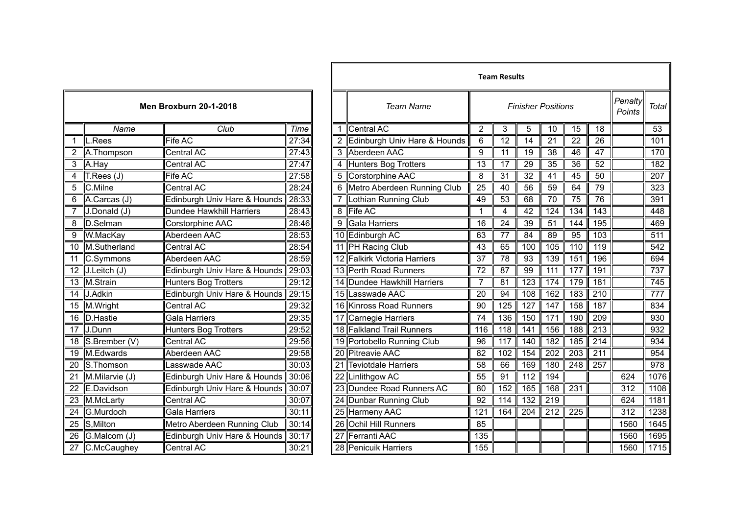|                 | <b>Men Broxburn 20-1-2018</b> |                              |       |  |  |  |  |  |
|-----------------|-------------------------------|------------------------------|-------|--|--|--|--|--|
|                 | Name                          | Club                         | Time  |  |  |  |  |  |
| 1               | L.Rees                        | Fife AC                      | 27:34 |  |  |  |  |  |
| $\overline{2}$  | A.Thompson                    | Central AC                   | 27:43 |  |  |  |  |  |
| $\overline{3}$  | A.Hay                         | Central AC                   | 27:47 |  |  |  |  |  |
| 4               | T.Rees (J)                    | Fife AC                      | 27:58 |  |  |  |  |  |
| $\overline{5}$  | C.Milne                       | Central AC                   | 28:24 |  |  |  |  |  |
| 6               | A.Carcas (J)                  | Edinburgh Univ Hare & Hounds | 28:33 |  |  |  |  |  |
| 7               | J.Donald (J)                  | Dundee Hawkhill Harriers     | 28:43 |  |  |  |  |  |
| 8               | D.Selman                      | Corstorphine AAC             | 28:46 |  |  |  |  |  |
| 9               | W.MacKay                      | Aberdeen AAC                 | 28:53 |  |  |  |  |  |
| 10              | M.Sutherland                  | <b>Central AC</b>            | 28:54 |  |  |  |  |  |
| 11              | C.Symmons                     | Aberdeen AAC                 | 28:59 |  |  |  |  |  |
| 12              | $J.Le$ itch $(J)$             | Edinburgh Univ Hare & Hounds | 29:03 |  |  |  |  |  |
| 13              | M.Strain                      | <b>Hunters Bog Trotters</b>  | 29:12 |  |  |  |  |  |
| $\overline{14}$ | J.Adkin                       | Edinburgh Univ Hare & Hounds | 29:15 |  |  |  |  |  |
| 15              | M.Wright                      | Central AC                   | 29:32 |  |  |  |  |  |
| $\overline{16}$ | D.Hastie                      | <b>Gala Harriers</b>         | 29:35 |  |  |  |  |  |
| 17              | J.Dunn                        | <b>Hunters Bog Trotters</b>  | 29:52 |  |  |  |  |  |
| 18              | S.Brember (V)                 | <b>Central AC</b>            | 29:56 |  |  |  |  |  |
| 19              | M.Edwards                     | Aberdeen AAC                 | 29:58 |  |  |  |  |  |
| 20              | S.Thomson                     | Lasswade AAC                 | 30:03 |  |  |  |  |  |
| $\overline{21}$ | M.Milarvie (J)                | Edinburgh Univ Hare & Hounds | 30:06 |  |  |  |  |  |
| 22              | E.Davidson                    | Edinburgh Univ Hare & Hounds | 30:07 |  |  |  |  |  |
| 23              | M.McLarty                     | Central AC                   | 30:07 |  |  |  |  |  |
| 24              | G.Murdoch                     | <b>Gala Harriers</b>         | 30:11 |  |  |  |  |  |
| $\overline{25}$ | S, Milton                     | Metro Aberdeen Running Club  | 30:14 |  |  |  |  |  |
| 26              | G.Malcom (J)                  | Edinburgh Univ Hare & Hounds | 30:17 |  |  |  |  |  |
| 27              | C.McCaughey                   | <b>Central AC</b>            | 30:21 |  |  |  |  |  |

|                 |                  |                                    |       |                 | <b>Team Results</b>              |                  |                 |                           |                  |                  |                  |                   |                  |
|-----------------|------------------|------------------------------------|-------|-----------------|----------------------------------|------------------|-----------------|---------------------------|------------------|------------------|------------------|-------------------|------------------|
|                 |                  | Men Broxburn 20-1-2018             |       |                 | <b>Team Name</b>                 |                  |                 | <b>Finisher Positions</b> |                  |                  |                  | Penalty<br>Points | Total            |
|                 | Name             | Club                               | Time  | 1               | <b>Central AC</b>                | $\overline{2}$   | 3               | 5                         | 10               | 15               | 18               |                   | $\overline{53}$  |
|                 | L.Rees           | Fife AC                            | 27:34 |                 | Edinburgh Univ Hare & Hounds     | 6                | $\overline{12}$ | 14                        | 21               | $\overline{22}$  | $\overline{26}$  |                   | 101              |
|                 | A.Thompson       | Central AC                         | 27:43 | 3               | Aberdeen AAC                     | 9                | 11              | 19                        | 38               | 46               | 47               |                   | 170              |
| 3               | A.Hay            | Central AC                         | 27:47 | 4               | <b>Hunters Bog Trotters</b>      | $\overline{13}$  | 17              | 29                        | 35               | 36               | 52               |                   | 182              |
| 4               | T:Rees (J)       | <b>Fife AC</b>                     | 27:58 | 5               | Corstorphine AAC                 | 8                | $\overline{31}$ | $\overline{32}$           | $\overline{41}$  | $\overline{45}$  | 50               |                   | $\overline{207}$ |
| $\overline{5}$  | C.Milne          | Central AC                         | 28:24 | 6               | Metro Aberdeen Running Club      | $\overline{25}$  | $\overline{40}$ | $\overline{56}$           | $\overline{59}$  | 64               | 79               |                   | 323              |
| 6               | A.Carcas (J)     | Edinburgh Univ Hare & Hounds 28:33 |       |                 | Lothian Running Club             | 49               | 53              | 68                        | 70               | 75               | 76               |                   | 391              |
|                 | J.Donald (J)     | Dundee Hawkhill Harriers           | 28:43 | 8               | <b>Fife AC</b>                   | $\mathbf{1}$     | 4               | 42                        | 124              | 134              | 143              |                   | 448              |
| 8               | D.Selman         | Corstorphine AAC                   | 28:46 | 9               | <b>Gala Harriers</b>             | 16               | 24              | $\overline{39}$           | 51               | 144              | 195              |                   | 469              |
| $\overline{9}$  | W.MacKay         | Aberdeen AAC                       | 28:53 |                 | 10 Edinburgh AC                  | 63               | $\overline{77}$ | 84                        | 89               | 95               | 103              |                   | 511              |
| 10              | M.Sutherland     | Central AC                         | 28:54 |                 | <b>PH Racing Club</b>            | 43               | 65              | 100                       | 105              | 110              | 119              |                   | 542              |
| 11              | C.Symmons        | Aberdeen AAC                       | 28:59 |                 | <b>Falkirk Victoria Harriers</b> | $\overline{37}$  | 78              | 93                        | 139              | 151              | 196              |                   | 694              |
|                 | 12 J.Leitch (J)  | Edinburgh Univ Hare & Hounds       | 29:03 | 13 <sup>1</sup> | Perth Road Runners               | $\overline{72}$  | 87              | 99                        | $\overline{111}$ | $\overline{177}$ | 191              |                   | $\overline{737}$ |
|                 | 13 M.Strain      | Hunters Bog Trotters               | 29:12 | 14              | Dundee Hawkhill Harriers         | $\overline{7}$   | 81              | $\overline{123}$          | 174              | 179              | 181              |                   | $\overline{745}$ |
|                 | 14 J.Adkin       | Edinburgh Univ Hare & Hounds 29:15 |       | 15 <sup>1</sup> | Lasswade AAC                     | 20               | 94              | 108                       | 162              | 183              | 210              |                   | $\overline{777}$ |
|                 | 15 M. Wright     | <b>Central AC</b>                  | 29:32 |                 | 16 Kinross Road Runners          | 90               | 125             | 127                       | 147              | 158              | 187              |                   | 834              |
|                 | 16 D.Hastie      | <b>Gala Harriers</b>               | 29:35 | 17              | <b>Carnegie Harriers</b>         | $\overline{74}$  | 136             | 150                       | $\overline{171}$ | 190              | $\overline{209}$ |                   | 930              |
|                 | $17$ J.Dunn      | Hunters Bog Trotters               | 29:52 |                 | 18 Falkland Trail Runners        | 116              | 118             | 141                       | 156              | 188              | $\overline{213}$ |                   | 932              |
|                 | 18 S.Brember (V) | Central AC                         | 29:56 |                 | 19 Portobello Running Club       | 96               | 117             | 140                       | 182              | 185              | 214              |                   | 934              |
|                 | 19 M.Edwards     | Aberdeen AAC                       | 29:58 | ا20             | <b>Pitreavie AAC</b>             | 82               | 102             | 154                       | 202              | 203              | $\overline{211}$ |                   | 954              |
| 20              | S.Thomson        | Lasswade AAC                       | 30:03 | 21              | <b>Teviotdale Harriers</b>       | 58               | 66              | 169                       | 180              | 248              | 257              |                   | $\overline{978}$ |
| 21              | M.Milarvie (J)   | Edinburgh Univ Hare & Hounds 30:06 |       |                 | Linlithgow AC                    | 55               | 91              | 112                       | 194              |                  |                  | 624               | 1076             |
| 22              | E.Davidson       | Edinburgh Univ Hare & Hounds       | 30:07 | 23.             | Dundee Road Runners AC           | 80               | 152             | 165                       | 168              | 231              |                  | 312               | 1108             |
| 23              | M.McLarty        | <b>Central AC</b>                  | 30:07 | 24              | Dunbar Running Club              | 92               | 114             | $\overline{132}$          | 219              |                  |                  | 624               | 1181             |
|                 | 24 G.Murdoch     | Gala Harriers                      | 30:11 |                 | 25 Harmeny AAC                   | $\overline{121}$ | 164             | $\overline{204}$          | 212              | 225              |                  | $\overline{312}$  | 1238             |
| $\overline{25}$ | S, Milton        | Metro Aberdeen Running Club        | 30:14 | 26 l            | <b>Ochil Hill Runners</b>        | 85               |                 |                           |                  |                  |                  | 1560              | 1645             |
| 26              | G.Malcom (J)     | Edinburgh Univ Hare & Hounds       | 30:17 |                 | Ferranti AAC                     | $\overline{135}$ |                 |                           |                  |                  |                  | 1560              | 1695             |
| $\overline{27}$ | C.McCaughey      | <b>Central AC</b>                  | 30:21 |                 | 28 Penicuik Harriers             | 155              |                 |                           |                  |                  |                  | 1560              | 1715             |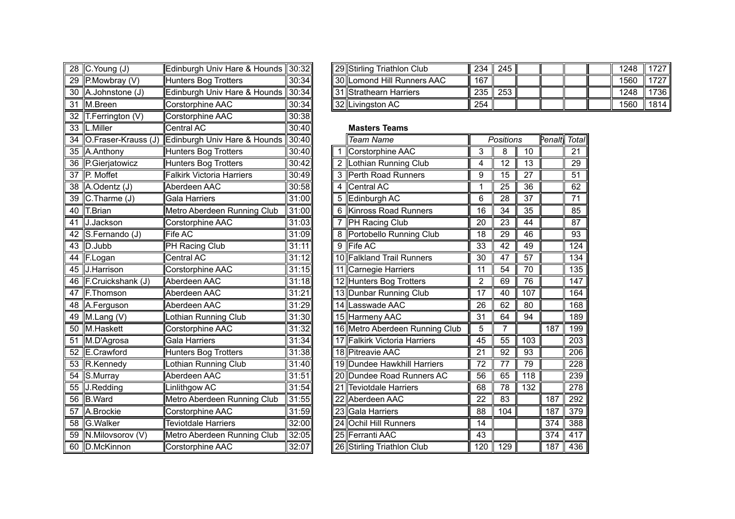| $\overline{28}$ | C.Young (J)                   | Edinburgh Univ Hare & Hounds     | 30:32 |
|-----------------|-------------------------------|----------------------------------|-------|
| 29              | P.Mowbray (V)                 | Hunters Bog Trotters             | 30:34 |
| $\overline{30}$ | A.Johnstone (J)               | Edinburgh Univ Hare & Hounds     | 30:34 |
| 31              | M.Breen                       | Corstorphine AAC                 | 30:34 |
| 32              | T.Ferrington (V)              | Corstorphine AAC                 | 30:38 |
| 33              | L.Miller                      | <b>Central AC</b>                | 30:40 |
| 34              | O.Fraser-Krauss (J)           | Edinburgh Univ Hare & Hounds     | 30:40 |
| 35              | A.Anthony                     | Hunters Bog Trotters             | 30:40 |
| 36              | P.Gierjatowicz                | <b>Hunters Bog Trotters</b>      | 30:42 |
| $\overline{37}$ | P. Moffet                     | <b>Falkirk Victoria Harriers</b> | 30:49 |
| 38              | A.Odentz (J)                  | Aberdeen AAC                     | 30:58 |
| 39              | $\overline{C}$ . Tharme $(J)$ | Gala Harriers                    | 31:00 |
| 40              | <b>T.Brian</b>                | Metro Aberdeen Running Club      | 31:00 |
| 41              | J.Jackson                     | Corstorphine AAC                 | 31:03 |
| $\overline{42}$ | S.Fernando (J)                | <b>Fife AC</b>                   | 31:09 |
| 43              | D.Jubb                        | PH Racing Club                   | 31:11 |
| 44              | F.Logan                       | <b>Central AC</b>                | 31:12 |
| 45              | J.Harrison                    | Corstorphine AAC                 | 31:15 |
| 46              | F.Cruickshank (J)             | Aberdeen AAC                     | 31:18 |
| 47              | F.Thomson                     | Aberdeen AAC                     | 31:21 |
| 48              | A.Ferguson                    | Aberdeen AAC                     | 31:29 |
| 49              | $\overline{M}$ . Lang (V)     | <b>Lothian Running Club</b>      | 31:30 |
| $\overline{50}$ | M.Haskett                     | Corstorphine AAC                 | 31:32 |
| 51              | M.D'Agrosa                    | Gala Harriers                    | 31:34 |
| 52              | E.Crawford                    | <b>Hunters Bog Trotters</b>      | 31:38 |
| 53              | R.Kennedy                     | <b>Lothian Running Club</b>      | 31:40 |
| $\overline{54}$ | S.Murray                      | Aberdeen AAC                     | 31:51 |
| 55              | J.Redding                     | Linlithgow AC                    | 31:54 |
| 56              | <b>B.Ward</b>                 | Metro Aberdeen Running Club      | 31:55 |
| $\overline{57}$ | A.Brockie                     | Corstorphine AAC                 | 31:59 |
| 58              | G.Walker                      | <b>Teviotdale Harriers</b>       | 32:00 |
| 59              | N.Milovsorov (V)              | Metro Aberdeen Running Club      | 32:05 |
| 60              | D.McKinnon                    | Corstorphine AAC                 | 32:07 |

| 28 $C$ . Young (J) | Edinburgh Univ Hare & Hounds   30:32 |       |  | 29 Stirling Triathlon Club | 234 245 |     |  |  | 1248 | 1727 I |
|--------------------|--------------------------------------|-------|--|----------------------------|---------|-----|--|--|------|--------|
| 29 P.Mowbray (V)   | <b>I</b> Hunters Bog Trotters        | 30:34 |  | 30 Lomond Hill Runners AAC | 167     |     |  |  | 1560 | 1727   |
| 30 A.Johnstone (J) | Edinburgh Univ Hare & Hounds 30:34   |       |  | 31 Strathearn Harriers     | 235     | 253 |  |  | 1248 | 1736   |
| 31 M.Breen         | <b>I</b> Corstorphine AAC            | 30:34 |  | 32 Livingston AC           | 254     |     |  |  | 1560 | 1814 l |

## **Masters Teams**

| 34 O.Fraser-Krauss (J) | Edinburgh Univ Hare & Hounds | 30:40 |   | <b>Team Name</b>               |     | Positions       |     | Penalt | <b>Total</b>    |
|------------------------|------------------------------|-------|---|--------------------------------|-----|-----------------|-----|--------|-----------------|
| 35 A.Anthony           | <b>Hunters Bog Trotters</b>  | 30:40 |   | Corstorphine AAC               | 3   | 8               | 10  |        | 21              |
| 36 P.Gierjatowicz      | Hunters Bog Trotters         | 30:42 |   | 2 Lothian Running Club         | 4   | 12              | 13  |        | 29              |
| 37 ∥P. Moffet          | Falkirk Victoria Harriers    | 30:49 | 3 | Perth Road Runners             | 9   | 15              | 27  |        | 51              |
| 38 A.Odentz (J)        | Aberdeen AAC                 | 30:58 | 4 | Central AC                     |     | 25              | 36  |        | 62              |
| 39 C.Tharme (J)        | Gala Harriers                | 31:00 | 5 | Edinburgh AC                   | 6   | 28              | 37  |        | $\overline{71}$ |
| 40 T.Brian             | Metro Aberdeen Running Club  | 31:00 | 6 | Kinross Road Runners           | 16  | 34              | 35  |        | 85              |
| 41 J.Jackson           | Corstorphine AAC             | 31:03 |   | <b>PH Racing Club</b>          | 20  | 23              | 44  |        | 87              |
| 42 S.Fernando (J)      | Fife AC                      | 31:09 |   | Portobello Running Club        | 18  | 29              | 46  |        | 93              |
| 43 D.Jubb              | PH Racing Club               | 31:11 |   | 9 Fife AC                      | 33  | 42              | 49  |        | 124             |
| 44 F.Logan             | Central AC                   | 31:12 |   | 10 Falkland Trail Runners      | 30  | 47              | 57  |        | 134             |
| 45 J.Harrison          | Corstorphine AAC             | 31:15 |   | 11 Carnegie Harriers           | 11  | 54              | 70  |        | 135             |
| 46 F.Cruickshank (J)   | Aberdeen AAC                 | 31:18 |   | 12 Hunters Bog Trotters        | 2   | 69              | 76  |        | 147             |
| 47 F.Thomson           | Aberdeen AAC                 | 31:21 |   | 13 Dunbar Running Club         | 17  | 40              | 107 |        | 164             |
| 48 A.Ferguson          | Aberdeen AAC                 | 31:29 |   | 14 Lasswade AAC                | 26  | 62              | 80  |        | 168             |
| 49 M.Lang (V)          | othian Running Club          | 31:30 |   | 15 Harmeny AAC                 | 31  | 64              | 94  |        | 189             |
| 50 M.Haskett           | Corstorphine AAC             | 31:32 |   | 16 Metro Aberdeen Running Club | 5   | 7               |     | 187    | 199             |
| 51 M.D'Agrosa          | Gala Harriers                | 31:34 |   | 17 Falkirk Victoria Harriers   | 45  | 55              | 103 |        | 203             |
| 52 E.Crawford          | Hunters Bog Trotters         | 31:38 |   | 18 Pitreavie AAC               | 21  | 92              | 93  |        | 206             |
| 53 R.Kennedy           | othian Running Club          | 31:40 |   | 19 Dundee Hawkhill Harriers    | 72  | 77              | 79  |        | 228             |
| 54 S.Murray            | Aberdeen AAC                 | 31:51 |   | 20 Dundee Road Runners AC      | 56  | 65              | 118 |        | 239             |
| 55 J.Redding           | Linlithgow AC                | 31:54 |   | 21 Teviotdale Harriers         | 68  | $\overline{78}$ | 132 |        | 278             |
| 56 B.Ward              | Metro Aberdeen Running Club  | 31:55 |   | 22 Aberdeen AAC                | 22  | 83              |     | 187    | 292             |
| 57 A.Brockie           | Corstorphine AAC             | 31:59 |   | 23 Gala Harriers               | 88  | 104             |     | 187    | 379             |
| 58 G.Walker            | <b>Teviotdale Harriers</b>   | 32:00 |   | 24 Ochil Hill Runners          | 14  |                 |     | 374    | 388             |
| 59 N.Milovsorov (V)    | Metro Aberdeen Running Club  | 32:05 |   | 25 Ferranti AAC                | 43  |                 |     | 374    | 417             |
| 60 D.McKinnon          | Corstorphine AAC             | 32:07 |   | 26 Stirling Triathlon Club     | 120 | 129             |     | 187    | 436             |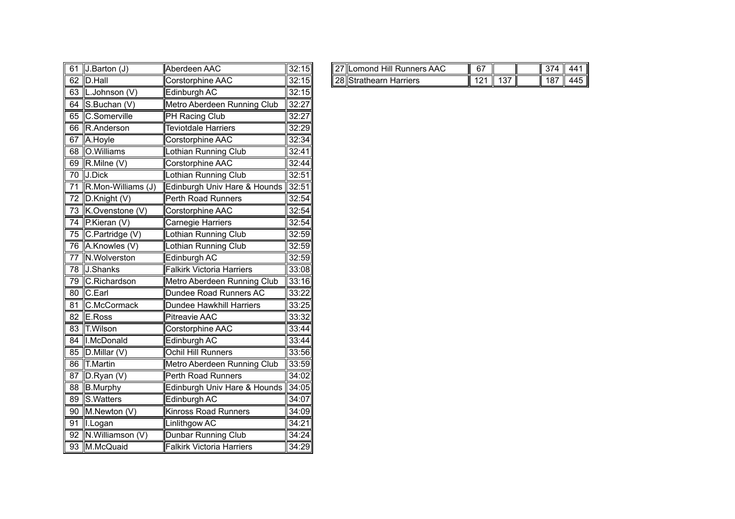| 61              | J.Barton (J)       | Aberdeen AAC                     | 32:15 |
|-----------------|--------------------|----------------------------------|-------|
| 62              | D.Hall             | Corstorphine AAC                 | 32:15 |
| 63              | L.Johnson (V)      | Edinburgh AC                     | 32:15 |
| 64              | S.Buchan (V)       | Metro Aberdeen Running Club      | 32:27 |
| 65              | C.Somerville       | PH Racing Club                   | 32:27 |
| 66              | R.Anderson         | <b>Teviotdale Harriers</b>       | 32:29 |
| 67              | A.Hoyle            | Corstorphine AAC                 | 32:34 |
| 68              | O.Williams         | Lothian Running Club             | 32:41 |
| 69              | R.Milne (V)        | Corstorphine AAC                 | 32:44 |
| 70              | J.Dick             | Lothian Running Club             | 32:51 |
| $\overline{71}$ | R.Mon-Williams (J) | Edinburgh Univ Hare & Hounds     | 32:51 |
| 72              | D.Knight (V)       | <b>Perth Road Runners</b>        | 32:54 |
| 73              | K.Ovenstone (V)    | Corstorphine AAC                 | 32:54 |
| 74              | P.Kieran (V)       | Carnegie Harriers                | 32:54 |
| $\overline{75}$ | C.Partridge (V)    | Lothian Running Club             | 32:59 |
| 76              | A.Knowles (V)      | Lothian Running Club             | 32:59 |
| 77              | N.Wolverston       | Edinburgh AC                     | 32:59 |
| 78              | J.Shanks           | <b>Falkirk Victoria Harriers</b> | 33:08 |
| 79              | C.Richardson       | Metro Aberdeen Running Club      | 33:16 |
| 80              | C.Earl             | Dundee Road Runners AC           | 33:22 |
| $\overline{81}$ | C.McCormack        | <b>Dundee Hawkhill Harriers</b>  | 33:25 |
| $\overline{82}$ | E.Ross             | <b>Pitreavie AAC</b>             | 33:32 |
| 83              | T.Wilson           | Corstorphine AAC                 | 33:44 |
| 84              | I.McDonald         | Edinburgh AC                     | 33:44 |
| 85              | D.Millar (V)       | Ochil Hill Runners               | 33:56 |
| 86              | <b>T.Martin</b>    | Metro Aberdeen Running Club      | 33:59 |
| 87              | $D.R$ yan $(V)$    | <b>Perth Road Runners</b>        | 34:02 |
| 88              | <b>B.Murphy</b>    | Edinburgh Univ Hare & Hounds     | 34:05 |
| $\overline{89}$ | S.Watters          | Edinburgh AC                     | 34:07 |
| 90              | M.Newton (V)       | <b>Kinross Road Runners</b>      | 34:09 |
| 91              | I.Logan            | Linlithgow AC                    | 34:21 |
| 92              | N.Williamson (V)   | Dunbar Running Club              | 34:24 |
| 93              | M.McQuaid          | <b>Falkirk Victoria Harriers</b> | 34:29 |

| <b>CA</b><br>- 1 | ∪ Barton (J<br>ıιυ. | 'IAberdeen AAC           | :15∥<br>000<br>∍ U  | Hill<br>$\sim$<br>$\sim$<br>-<br>∸AA∪<br>Runners<br>⊥omon~ | $\sim$ |                   | --  | 44       |
|------------------|---------------------|--------------------------|---------------------|------------------------------------------------------------|--------|-------------------|-----|----------|
| $\sim$<br>ᅆ      | .Hall<br>IID        | `orstorphine AAC<br>וששו | :15∥<br>م ہ ا<br>◡▵ | <b>"ഹ</b><br>. .<br>Harriers<br>strathearrے<br>.           | ın.    | $\sqrt{2}$<br>ں ا | 187 | .<br>44. |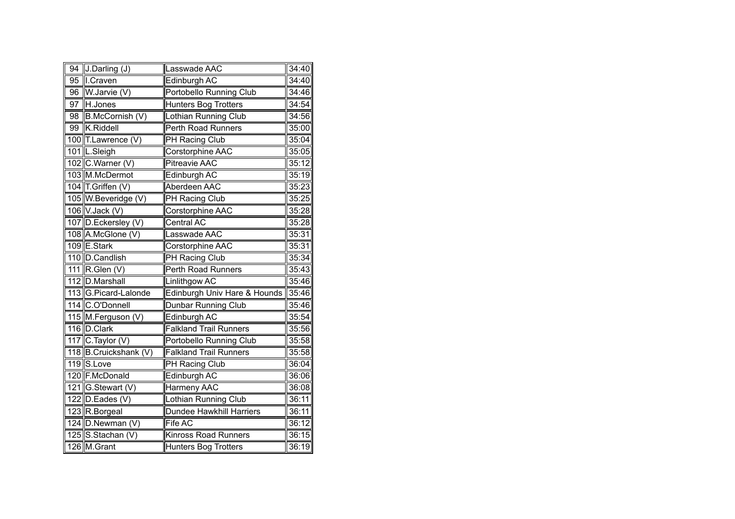| $\overline{94}$ | J.Darling (J)         | asswade AAC                    | 34:40 |
|-----------------|-----------------------|--------------------------------|-------|
| $\overline{95}$ | I.Craven              | Edinburgh AC                   | 34:40 |
| 96              | W.Jarvie (V)          | <b>Portobello Running Club</b> | 34:46 |
| 97              | H.Jones               | <b>Hunters Bog Trotters</b>    | 34:54 |
| 98              | B.McCornish (V)       | Lothian Running Club           | 34:56 |
| 99              | K.Riddell             | Perth Road Runners             | 35:00 |
|                 | 100 T.Lawrence (V)    | PH Racing Club                 | 35:04 |
|                 | 101 L.Sleigh          | Corstorphine AAC               | 35:05 |
|                 | 102 C.Warner (V)      | <b>Pitreavie AAC</b>           | 35:12 |
|                 | 103 M.McDermot        | Edinburgh AC                   | 35:19 |
|                 | 104 T.Griffen (V)     | Aberdeen AAC                   | 35:23 |
|                 | 105 W.Beveridge (V)   | PH Racing Club                 | 35:25 |
|                 | 106 V.Jack (V)        | Corstorphine AAC               | 35:28 |
|                 | 107 D.Eckersley (V)   | <b>Central AC</b>              | 35:28 |
|                 | 108 A.McGlone (V)     | Lasswade AAC                   | 35:31 |
|                 | 109 E.Stark           | Corstorphine AAC               | 35:31 |
|                 | 110 D.Candlish        | <b>PH Racing Club</b>          | 35:34 |
|                 | 111 R.Glen (V)        | <b>Perth Road Runners</b>      | 35:43 |
|                 | 112 D.Marshall        | Linlithgow AC                  | 35:46 |
|                 | 113 G.Picard-Lalonde  | Edinburgh Univ Hare & Hounds   | 35:46 |
|                 | 114 C.O'Donnell       | <b>Dunbar Running Club</b>     | 35:46 |
|                 | 115 M.Ferguson (V)    | Edinburgh AC                   | 35:54 |
|                 | 116 D.Clark           | <b>Falkland Trail Runners</b>  | 35:56 |
|                 | 117 $C$ . Taylor (V)  | Portobello Running Club        | 35:58 |
|                 | 118 B.Cruickshank (V) | <b>Falkland Trail Runners</b>  | 35:58 |
|                 | 119 S.Love            | <b>PH Racing Club</b>          | 36:04 |
|                 | 120 F.McDonald        | Edinburgh AC                   | 36:06 |
|                 | 121 G.Stewart (V)     | <b>Harmeny AAC</b>             | 36:08 |
|                 | 122 D.Eades (V)       | Lothian Running Club           | 36:11 |
|                 | 123 R.Borgeal         | Dundee Hawkhill Harriers       | 36:11 |
|                 | 124 D.Newman (V)      | Fife AC                        | 36:12 |
|                 | 125 S.Stachan (V)     | <b>Kinross Road Runners</b>    | 36:15 |
|                 | 126 M.Grant           | <b>Hunters Bog Trotters</b>    | 36:19 |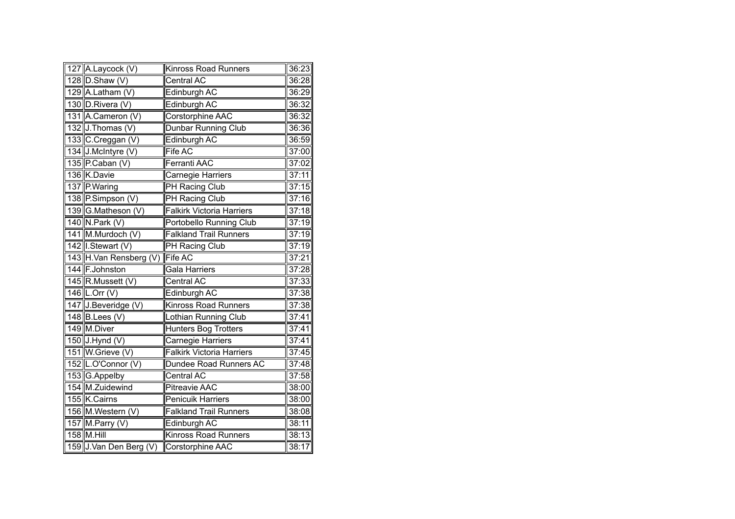| 127 A.Laycock (V)      | <b>Kinross Road Runners</b>      | 36:23 |
|------------------------|----------------------------------|-------|
| 128 $D.$ Shaw $(V)$    | Central AC                       | 36:28 |
| 129 A.Latham (V)       | Edinburgh AC                     | 36:29 |
| 130 D.Rivera (V)       | <b>Edinburgh AC</b>              | 36:32 |
| 131 A.Cameron (V)      | Corstorphine AAC                 | 36:32 |
| 132 J.Thomas (V)       | Dunbar Running Club              | 36:36 |
| 133 C.Creggan (V)      | <b>Edinburgh AC</b>              | 36:59 |
| 134 J.McIntyre (V)     | Fife AC                          | 37:00 |
| 135 P.Caban (V)        | Ferranti AAC                     | 37:02 |
| 136 K.Davie            | Carnegie Harriers                | 37:11 |
| 137 P.Waring           | <b>PH Racing Club</b>            | 37:15 |
| 138 P.Simpson (V)      | <b>PH Racing Club</b>            | 37:16 |
| 139 G.Matheson (V)     | <b>Falkirk Victoria Harriers</b> | 37:18 |
| 140 N.Park (V)         | <b>Portobello Running Club</b>   | 37:19 |
| 141 M.Murdoch (V)      | <b>Falkland Trail Runners</b>    | 37:19 |
| 142 I.Stewart (V)      | PH Racing Club                   | 37:19 |
| 143 H.Van Rensberg (V) | Fife AC                          | 37:21 |
| 144 F.Johnston         | Gala Harriers                    | 37:28 |
| 145 R.Mussett (V)      | Central AC                       | 37:33 |
| 146 L.Orr (V)          | Edinburgh AC                     | 37:38 |
| 147 J.Beveridge (V)    | Kinross Road Runners             | 37:38 |
| $148$ B.Lees (V)       | Lothian Running Club             | 37:41 |
| 149 M.Diver            | <b>Hunters Bog Trotters</b>      | 37:41 |
| $150$ J. Hynd (V)      | Carnegie Harriers                | 37:41 |
| 151 W.Grieve (V)       | <b>Falkirk Victoria Harriers</b> | 37:45 |
| 152 L.O'Connor (V)     | Dundee Road Runners AC           | 37:48 |
| 153 G.Appelby          | Central AC                       | 37:58 |
| 154 M.Zuidewind        | <b>Pitreavie AAC</b>             | 38:00 |
| 155 K.Cairns           | <b>Penicuik Harriers</b>         | 38:00 |
| 156 M.Western (V)      | <b>Falkland Trail Runners</b>    | 38:08 |
| 157 M. Parry (V)       | Edinburgh AC                     | 38:11 |
| $158$ M.Hill           | <b>Kinross Road Runners</b>      | 38:13 |
| 159 J.Van Den Berg (V) | Corstorphine AAC                 | 38:17 |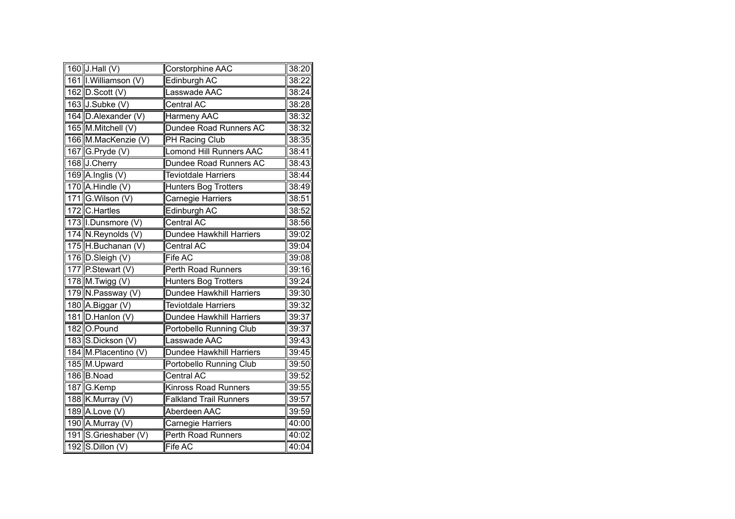| 160 $J.Hall (V)$      | Corstorphine AAC                | 38:20 |
|-----------------------|---------------------------------|-------|
| 161 I. Williamson (V) | Edinburgh AC                    | 38:22 |
| 162 D.Scott (V)       | Lasswade AAC                    | 38:24 |
| 163 J.Subke (V)       | <b>Central AC</b>               | 38:28 |
| 164 D.Alexander (V)   | Harmeny AAC                     | 38:32 |
| 165 M.Mitchell (V)    | Dundee Road Runners AC          | 38:32 |
| 166 M.MacKenzie (V)   | <b>PH Racing Club</b>           | 38:35 |
| 167 G.Pryde (V)       | <b>Lomond Hill Runners AAC</b>  | 38:41 |
| 168 J.Cherry          | Dundee Road Runners AC          | 38:43 |
| 169 A.Inglis $(V)$    | <b>Teviotdale Harriers</b>      | 38:44 |
| 170 $A.Hindle(V)$     | <b>Hunters Bog Trotters</b>     | 38:49 |
| 171 G.Wilson (V)      | <b>Carnegie Harriers</b>        | 38:51 |
| 172 C.Hartles         | Edinburgh AC                    | 38:52 |
| 173 I.Dunsmore (V)    | <b>Central AC</b>               | 38:56 |
| 174 N.Reynolds (V)    | Dundee Hawkhill Harriers        | 39:02 |
| 175 H.Buchanan (V)    | Central AC                      | 39:04 |
| 176 D.Sleigh (V)      | Fife AC                         | 39:08 |
| 177 P.Stewart (V)     | <b>Perth Road Runners</b>       | 39:16 |
| 178 M.Twigg (V)       | <b>Hunters Bog Trotters</b>     | 39:24 |
| 179 N.Passway (V)     | <b>Dundee Hawkhill Harriers</b> | 39:30 |
| 180 A.Biggar (V)      | <b>Teviotdale Harriers</b>      | 39:32 |
| 181 D.Hanlon (V)      | Dundee Hawkhill Harriers        | 39:37 |
| 182 O.Pound           | Portobello Running Club         | 39:37 |
| 183 S.Dickson (V)     | Lasswade AAC                    | 39:43 |
| 184 M.Placentino (V)  | Dundee Hawkhill Harriers        | 39:45 |
| 185 M.Upward          | Portobello Running Club         | 39:50 |
| 186 B.Noad            | Central AC                      | 39:52 |
| 187 G.Kemp            | <b>Kinross Road Runners</b>     | 39:55 |
| 188 K.Murray (V)      | <b>Falkland Trail Runners</b>   | 39:57 |
| 189 A.Love (V)        | Aberdeen AAC                    | 39:59 |
| 190 A.Murray (V)      | Carnegie Harriers               | 40:00 |
| 191 S.Grieshaber (V)  | Perth Road Runners              | 40:02 |
| 192 S.Dillon (V)      | Fife AC                         | 40:04 |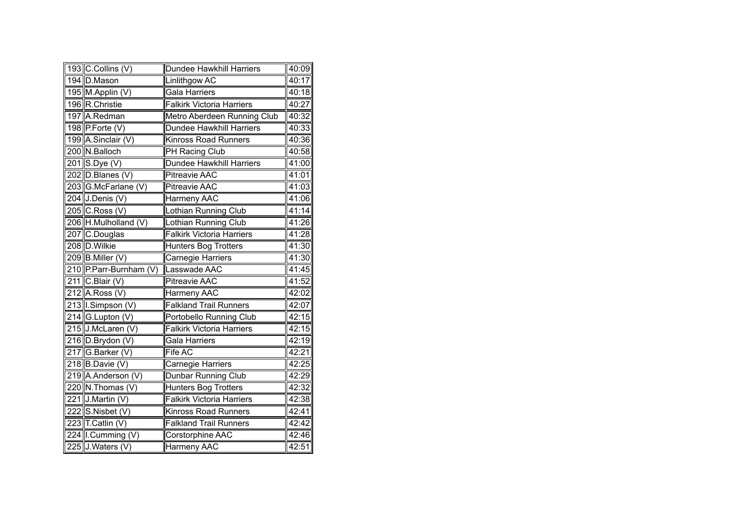| 193 C.Collins (V)            | Dundee Hawkhill Harriers         | 40:09 |
|------------------------------|----------------------------------|-------|
| 194 D.Mason                  | Linlithgow AC                    | 40:17 |
| 195 M.Applin (V)             | Gala Harriers                    | 40:18 |
| 196 R.Christie               | <b>Falkirk Victoria Harriers</b> | 40:27 |
| 197 A.Redman                 | Metro Aberdeen Running Club      | 40:32 |
| 198 P.Forte (V)              | <b>Dundee Hawkhill Harriers</b>  | 40:33 |
| 199 A.Sinclair (V)           | <b>Kinross Road Runners</b>      | 40:36 |
| 200 N.Balloch                | PH Racing Club                   | 40:58 |
| 201 S.Dye (V)                | Dundee Hawkhill Harriers         | 41:00 |
| 202 D.Blanes (V)             | <b>Pitreavie AAC</b>             | 41:01 |
| 203 G.McFarlane (V)          | <b>Pitreavie AAC</b>             | 41:03 |
| 204 J.Denis (V)              | Harmeny AAC                      | 41:06 |
| $\overline{205}$ C. Ross (V) | Lothian Running Club             | 41:14 |
| 206 H.Mulholland (V)         | Lothian Running Club             | 41:26 |
| 207 C.Douglas                | <b>Falkirk Victoria Harriers</b> | 41:28 |
| 208 D. Wilkie                | <b>Hunters Bog Trotters</b>      | 41:30 |
| 209 B.Miller $(V)$           | Carnegie Harriers                | 41:30 |
| 210 P.Parr-Burnham (V)       | Lasswade AAC                     | 41:45 |
| $\overline{211}$ C.Blair (V) | Pitreavie AAC                    | 41:52 |
| 212 A.Ross (V)               | Harmeny AAC                      | 42:02 |
| 213 I.Simpson (V)            | <b>Falkland Trail Runners</b>    | 42:07 |
| 214 G.Lupton (V)             | <b>Portobello Running Club</b>   | 42:15 |
| 215 J.McLaren (V)            | <b>Falkirk Victoria Harriers</b> | 42:15 |
| 216 D.Brydon (V)             | Gala Harriers                    | 42:19 |
| 217 G.Barker (V)             | Fife AC                          | 42:21 |
| $218$ B.Davie (V)            | Carnegie Harriers                | 42:25 |
| 219 A.Anderson (V)           | Dunbar Running Club              | 42:29 |
| 220 N.Thomas (V)             | <b>Hunters Bog Trotters</b>      | 42:32 |
| $221$ J. Martin (V)          | <b>Falkirk Victoria Harriers</b> | 42:38 |
| 222 S.Nisbet (V)             | <b>Kinross Road Runners</b>      | 42:41 |
| 223 T.Catlin $(V)$           | <b>Falkland Trail Runners</b>    | 42:42 |
| 224 I.Cumming (V)            | Corstorphine AAC                 | 42:46 |
| 225 J.Waters (V)             | Harmeny AAC                      | 42:51 |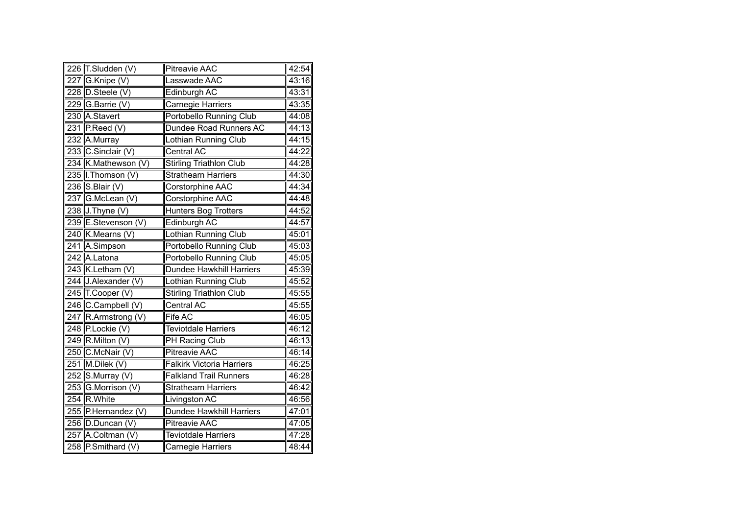| 226 T.Sludden (V)          | <b>Pitreavie AAC</b>             | 42:54 |
|----------------------------|----------------------------------|-------|
| 227 G.Knipe (V)            | Lasswade AAC                     | 43:16 |
| 228 D.Steele (V)           | Edinburgh AC                     | 43:31 |
| 229 G.Barrie (V)           | Carnegie Harriers                | 43:35 |
| 230 A.Stavert              | Portobello Running Club          | 44:08 |
| 231 P.Reed $(V)$           | Dundee Road Runners AC           | 44:13 |
| 232 A.Murray               | Lothian Running Club             | 44:15 |
| 233 C.Sinclair (V)         | Central AC                       | 44:22 |
| 234 K.Mathewson (V)        | <b>Stirling Triathlon Club</b>   | 44:28 |
| 235 I. Thomson (V)         | <b>Strathearn Harriers</b>       | 44:30 |
| 236 S.Blair $(V)$          | Corstorphine AAC                 | 44:34 |
| 237 G.McLean (V)           | Corstorphine AAC                 | 44:48 |
| 238 J.Thyne (V)            | Hunters Bog Trotters             | 44:52 |
| 239 E.Stevenson (V)        | Edinburgh AC                     | 44:57 |
| 240 K.Mearns (V)           | Lothian Running Club             | 45:01 |
| $\overline{241}$ A.Simpson | Portobello Running Club          | 45:03 |
| 242 A.Latona               | Portobello Running Club          | 45:05 |
| 243 K.Letham (V)           | <b>Dundee Hawkhill Harriers</b>  | 45:39 |
| 244 J.Alexander (V)        | Lothian Running Club             | 45:52 |
| 245 T.Cooper (V)           | <b>Stirling Triathlon Club</b>   | 45:55 |
| 246 C.Campbell (V)         | Central AC                       | 45:55 |
| 247 R.Armstrong (V)        | Fife AC                          | 46:05 |
| 248 P.Lockie (V)           | <b>Teviotdale Harriers</b>       | 46:12 |
| $249$ R. Milton (V)        | PH Racing Club                   | 46:13 |
| 250 C.McNair (V)           | <b>Pitreavie AAC</b>             | 46:14 |
| 251 M.Dilek (V)            | <b>Falkirk Victoria Harriers</b> | 46:25 |
| 252 S.Murray (V)           | <b>Falkland Trail Runners</b>    | 46:28 |
| 253 G.Morrison (V)         | <b>Strathearn Harriers</b>       | 46:42 |
| 254 R.White                | Livingston AC                    | 46:56 |
| 255 P.Hernandez (V)        | Dundee Hawkhill Harriers         | 47:01 |
| 256 D.Duncan (V)           | <b>Pitreavie AAC</b>             | 47:05 |
| 257 A.Coltman (V)          | <b>Teviotdale Harriers</b>       | 47:28 |
| 258 P.Smithard (V)         | Carnegie Harriers                | 48:44 |